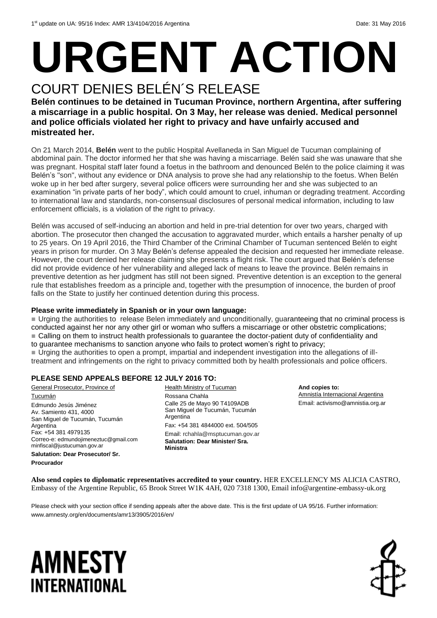# **URGENT ACTION** COURT DENIES BELÉN´S RELEASE

#### **Belén continues to be detained in Tucuman Province, northern Argentina, after suffering a miscarriage in a public hospital. On 3 May, her release was denied. Medical personnel and police officials violated her right to privacy and have unfairly accused and mistreated her.**

On 21 March 2014, **Belén** went to the public Hospital Avellaneda in San Miguel de Tucuman complaining of abdominal pain. The doctor informed her that she was having a miscarriage. Belén said she was unaware that she was pregnant. Hospital staff later found a foetus in the bathroom and denounced Belén to the police claiming it was Belén's "son", without any evidence or DNA analysis to prove she had any relationship to the foetus. When Belén woke up in her bed after surgery, several police officers were surrounding her and she was subjected to an examination "in private parts of her body", which could amount to cruel, inhuman or degrading treatment. According to international law and standards, non-consensual disclosures of personal medical information, including to law enforcement officials, is a violation of the right to privacy.

Belén was accused of self-inducing an abortion and held in pre-trial detention for over two years, charged with abortion. The prosecutor then changed the accusation to aggravated murder, which entails a harsher penalty of up to 25 years. On 19 April 2016, the Third Chamber of the Criminal Chamber of Tucuman sentenced Belén to eight years in prison for murder. On 3 May Belén's defense appealed the decision and requested her immediate release. However, the court denied her release claiming she presents a flight risk. The court argued that Belén's defense did not provide evidence of her vulnerability and alleged lack of means to leave the province. Belén remains in preventive detention as her judgment has still not been signed. Preventive detention is an exception to the general rule that establishes freedom as a principle and, together with the presumption of innocence, the burden of proof falls on the State to justify her continued detention during this process.

#### **Please write immediately in Spanish or in your own language:**

 Urging the authorities to release Belen immediately and unconditionally, guaranteeing that no criminal process is conducted against her nor any other girl or woman who suffers a miscarriage or other obstetric complications; Calling on them to instruct health professionals to guarantee the doctor-patient duty of confidentiality and to guarantee mechanisms to sanction anyone who fails to protect women's right to privacy; Urging the authorities to open a prompt, impartial and independent investigation into the allegations of illtreatment and infringements on the right to privacy committed both by health professionals and police officers.

#### **PLEASE SEND APPEALS BEFORE 12 JULY 2016 TO:**

General Prosecutor, Province of **Tucumán** Edmundo Jesús Jiménez Av. Samiento 431, 4000 San Miguel de Tucumán, Tucumán Argentina Fax: +54 381 4979135 Correo-e: [edmundojimeneztuc@gmail.com](mailto:edmundojimeneztuc@gmail.com) [minfiscal@justucuman.gov.ar](mailto:minfiscal@justucuman.gov.ar) **Salutation: Dear Prosecutor/ Sr.** 

**Procurador**

Health Ministry of Tucuman Rossana Chahla Calle 25 de Mayo 90 T4109ADB San Miguel de Tucumán, Tucumán Argentina Fax: +54 381 4844000 ext. 504/505 Email: rchahla@msptucuman.gov.ar **Salutation: Dear Minister/ Sra. Ministra**

**And copies to:** Amnistía Internacional Argentina Email: activismo@amnistia.org.ar

**Also send copies to diplomatic representatives accredited to your country.** HER EXCELLENCY MS ALICIA CASTRO, Embassy of the Argentine Republic, 65 Brook Street W1K 4AH, 020 7318 1300, Email info@argentine-embassy-uk.org

Please check with your section office if sending appeals after the above date. This is the first update of UA 95/16. Further information: www.amnesty.org/en/documents/amr13/3905/2016/en/